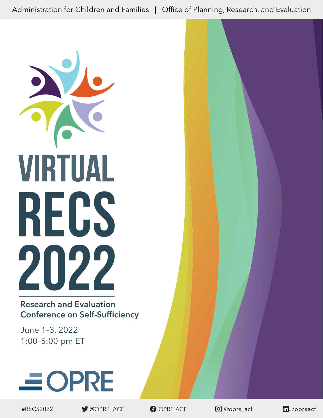Administration for Children and Families | Office of Planning, Research, and Evaluation



Research and Evaluation Conference on Self-Sufficiency

June 1–3, 2022 1:00–5:00 pm ET



#RECS2022

OOPRE ACF

OPRE.ACF

**O** @opre\_acf

in. /opreacf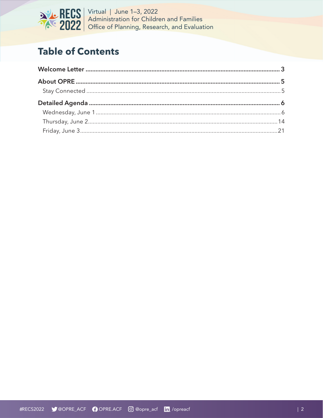

# **Table of Contents**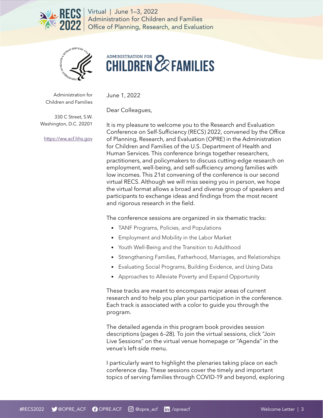<span id="page-2-0"></span>



# ADMINISTRATION FOR **22 FAMILIES**

Administration for Children and Families June 1, 2022

Dear Colleagues,

330 C Street, S.W. Washington, D.C. 20201

[https://ww.acf.hhs.gov](https://www.acf.hhs.gov)

It is my pleasure to welcome you to the Research and Evaluation Conference on Self-Sufficiency (RECS) 2022, convened by the Office of Planning, Research, and Evaluation (OPRE) in the Administration for Children and Families of the U.S. Department of Health and Human Services. This conference brings together researchers, practitioners, and policymakers to discuss cutting-edge research on employment, well-being, and self-sufficiency among families with low incomes. This 21st convening of the conference is our second virtual RECS. Although we will miss seeing you in person, we hope the virtual format allows a broad and diverse group of speakers and participants to exchange ideas and findings from the most recent and rigorous research in the field.

The conference sessions are organized in six thematic tracks:

- TANF Programs, Policies, and Populations
- Employment and Mobility in the Labor Market
- Youth Well-Being and the Transition to Adulthood
- Strengthening Families, Fatherhood, Marriages, and Relationships
- Evaluating Social Programs, Building Evidence, and Using Data
- Approaches to Alleviate Poverty and Expand Opportunity

These tracks are meant to encompass major areas of current research and to help you plan your participation in the conference. Each track is associated with a color to guide you through the program.

The detailed agenda in this program book provides session descriptions (pages 6–28). To join the virtual sessions, click "Join Live Sessions" on the virtual venue homepage or "Agenda" in the venue's left-side menu.

I particularly want to highlight the plenaries taking place on each conference day. These sessions cover the timely and important topics of serving families through COVID-19 and beyond, exploring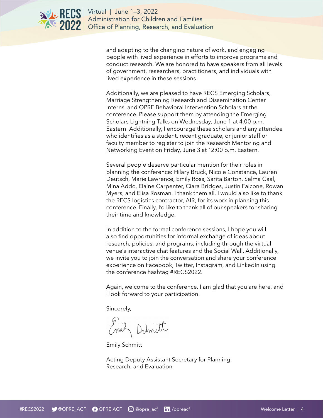

> and adapting to the changing nature of work, and engaging people with lived experience in efforts to improve programs and conduct research. We are honored to have speakers from all levels of government, researchers, practitioners, and individuals with lived experience in these sessions.

> Additionally, we are pleased to have RECS Emerging Scholars, Marriage Strengthening Research and Dissemination Center Interns, and OPRE Behavioral Intervention Scholars at the conference. Please support them by attending the Emerging Scholars Lightning Talks on Wednesday, June 1 at 4:00 p.m. Eastern. Additionally, I encourage these scholars and any attendee who identifies as a student, recent graduate, or junior staff or faculty member to register to join the Research Mentoring and Networking Event on Friday, June 3 at 12:00 p.m. Eastern.

> Several people deserve particular mention for their roles in planning the conference: Hilary Bruck, Nicole Constance, Lauren Deutsch, Marie Lawrence, Emily Ross, Sarita Barton, Selma Caal, Mina Addo, Elaine Carpenter, Ciara Bridges, Justin Falcone, Rowan Myers, and Elisa Rosman. I thank them all. I would also like to thank the RECS logistics contractor, AIR, for its work in planning this conference. Finally, I'd like to thank all of our speakers for sharing their time and knowledge.

In addition to the formal conference sessions, I hope you will also find opportunities for informal exchange of ideas about research, policies, and programs, including through the virtual venue's interactive chat features and the Social Wall. Additionally, we invite you to join the conversation and share your conference experience on Facebook, Twitter, Instagram, and LinkedIn using the conference hashtag #RECS2022.

Again, welcome to the conference. I am glad that you are here, and I look forward to your participation.

Sincerely,

Emil Debmitt

Emily Schmitt

Acting Deputy Assistant Secretary for Planning, Research, and Evaluation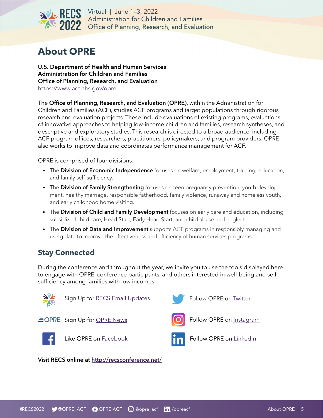<span id="page-4-0"></span>

## **About OPRE**

U.S. Department of Health and Human Services Administration for Children and Families Office of Planning, Research, and Evaluation <https://www.acf.hhs.gov/opre>

The Office of Planning, Research, and Evaluation (OPRE), within the Administration for Children and Families (ACF), studies ACF programs and target populations through rigorous research and evaluation projects. These include evaluations of existing programs, evaluations of innovative approaches to helping low-income children and families, research syntheses, and descriptive and exploratory studies. This research is directed to a broad audience, including ACF program offices, researchers, practitioners, policymakers, and program providers. OPRE also works to improve data and coordinates performance management for ACF.

OPRE is comprised of four divisions:

- The Division of Economic Independence focuses on welfare, employment, training, education, and family self-sufficiency.
- The Division of Family Strengthening focuses on teen pregnancy prevention, youth development, healthy marriage, responsible fatherhood, family violence, runaway and homeless youth, and early childhood home visiting.
- The Division of Child and Family Development focuses on early care and education, including subsidized child care, Head Start, Early Head Start, and child abuse and neglect.
- The Division of Data and Improvement supports ACF programs in responsibly managing and using data to improve the effectiveness and efficiency of human services programs.

## **Stay Connected**

During the conference and throughout the year, we invite you to use the tools displayed here to engage with OPRE, conference participants, and others interested in well-being and selfsufficiency among families with low incomes.

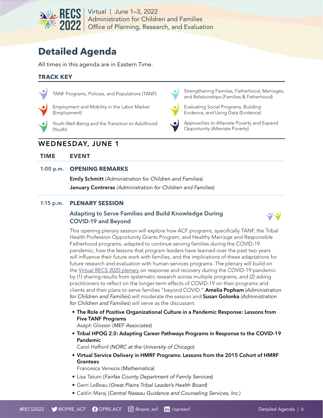<span id="page-5-0"></span>

# **Detailed Agenda**

All times in this agenda are in Eastern Time.

#### **TRACK KEY**



TANF Programs, Policies, and Populations (TANF)



Employment and Mobility in the Labor Market (Employment)

Youth Well-Being and the Transition to Adulthood (Youth)

## WEDNESDAY, JUNE 1

**TIME EVENT**

#### 1:00 p.m. **OPENING REMARKS**

Emily Schmitt (Administration for Children and Families) **January Contreras** (Administration for Children and Families)

#### 1:15 p.m. **PLENARY SESSION**

#### Adapting to Serve Families and Build Knowledge During COVID-19 and Beyond



Evaluating Social Programs, Building Evidence, and Using Data (Evidence)

Opportunity (Alleviate Poverty)

Approaches to Alleviate Poverty and Expand

Strengthening Families, Fatherhood, Marriages, and Relationships (Families & Fatherhood)

This opening plenary session will explore how ACF programs, specifically TANF, the Tribal Health Profession Opportunity Grants Program, and Healthy Marriage and Responsible Fatherhood programs, adapted to continue serving families during the COVID-19 pandemic, how the lessons that program leaders have learned over the past two years will influence their future work with families, and the implications of these adaptations for future research and evaluation with human services programs. The plenary will build on the [Virtual RECS 2020 plenary](https://player.vimeo.com/video/520212617) on response and recovery during the COVID-19 pandemic by (1) sharing results from systematic research across multiple programs, and (2) asking practitioners to reflect on the longer-term effects of COVID-19 on their programs and clients and their plans to serve families "beyond COVID." Amelia Popham (*Administration for Children and Families*) will moderate the session and Susan Golonka (*Administration for Children and Families*) will serve as the discussant.

• The Role of Positive Organizational Culture in a Pandemic Response: Lessons from Five TANF Programs

Asaph Glosser (MEF Associates)

• Tribal HPOG 2.0: Adapting Career Pathways Programs in Response to the COVID-19 Pandemic

Carol Hafford (NORC at the University of Chicago)

• Virtual Service Delivery in HMRF Programs: Lessons from the 2015 Cohort of HMRF Grantees

Francesca Venezia (Mathematica)

- Lisa Tatum (Fairfax County Department of Family Services)
- Gerri LeBeau (Great Plains Tribal Leader's Health Board)
- Caitlin Maraj (Central Nassau Guidance and Counseling Services, Inc.)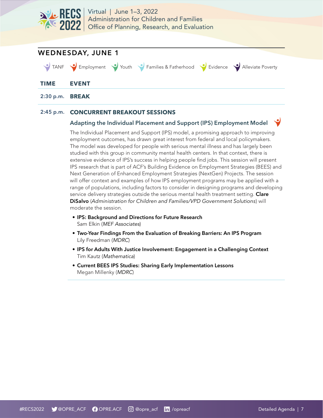



#### 2:45 p.m. **CONCURRENT BREAKOUT SESSIONS**

#### Adapting the Individual Placement and Support (IPS) Employment Model

The Individual Placement and Support (IPS) model, a promising approach to improving employment outcomes, has drawn great interest from federal and local policymakers. The model was developed for people with serious mental illness and has largely been studied with this group in community mental health centers. In that context, there is extensive evidence of IPS's success in helping people find jobs. This session will present IPS research that is part of ACF's Building Evidence on Employment Strategies (BEES) and Next Generation of Enhanced Employment Strategies (NextGen) Projects. The session will offer context and examples of how IPS employment programs may be applied with a range of populations, including factors to consider in designing programs and developing service delivery strategies outside the serious mental health treatment setting. Clare DiSalvo (*Administration for Children and Families/VPD Government Solutions*) will moderate the session.

- IPS: Background and Directions for Future Research Sam Elkin (MEF Associates)
- Two-Year Findings From the Evaluation of Breaking Barriers: An IPS Program Lily Freedman (MDRC)
- IPS for Adults With Justice Involvement: Engagement in a Challenging Context Tim Kautz (Mathematica)
- Current BEES IPS Studies: Sharing Early Implementation Lessons Megan Millenky (MDRC)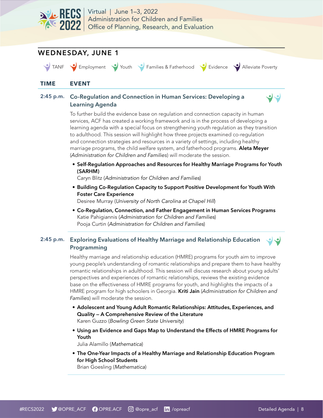

## WEDNESDAY, JUNE 1

TANF Employment Vouth Families & Fatherhood V Evidence V Alleviate Poverty

ں

#### **TIME EVENT**

#### 2:45 p.m. Co-Regulation and Connection in Human Services: Developing a Learning Agenda

To further build the evidence base on regulation and connection capacity in human services, ACF has created a working framework and is in the process of developing a learning agenda with a special focus on strengthening youth regulation as they transition to adulthood. This session will highlight how three projects examined co-regulation and connection strategies and resources in a variety of settings, including healthy marriage programs, the child welfare system, and fatherhood programs. Aleta Meyer (*Administration for Children and Families*) will moderate the session.

• Self-Regulation Approaches and Resources for Healthy Marriage Programs for Youth (SARHM)

Caryn Blitz (Administration for Children and Families)

• Building Co-Regulation Capacity to Support Positive Development for Youth With Foster Care Experience

Desiree Murray (University of North Carolina at Chapel Hill)

• Co-Regulation, Connection, and Father Engagement in Human Services Programs Katie Pahigiannis (Administration for Children and Families) Pooja Curtin (Administration for Children and Families)

## 2:45 p.m. Exploring Evaluations of Healthy Marriage and Relationship Education Programming

Healthy marriage and relationship education (HMRE) programs for youth aim to improve young people's understanding of romantic relationships and prepare them to have healthy romantic relationships in adulthood. This session will discuss research about young adults' perspectives and experiences of romantic relationships, reviews the existing evidence base on the effectiveness of HMRE programs for youth, and highlights the impacts of a HMRE program for high schoolers in Georgia. Kriti Jain (*Administration for Children and Families*) will moderate the session.

- Adolescent and Young Adult Romantic Relationships: Attitudes, Experiences, and Quality — A Comprehensive Review of the Literature Karen Guzzo (Bowling Green State University)
- Using an Evidence and Gaps Map to Understand the Effects of HMRE Programs for Youth

Julia Alamillo (Mathematica)

• The One-Year Impacts of a Healthy Marriage and Relationship Education Program for High School Students

Brian Goesling (Mathematica)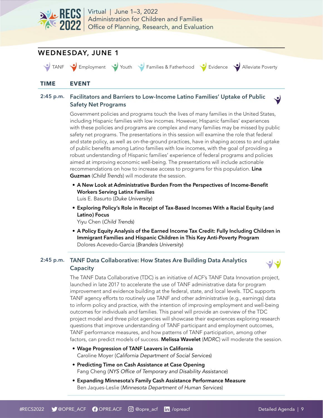

## WEDNESDAY, JUNE 1

TANF Employment Youth Families & Fatherhood Evidence Alleviate Poverty

ں

#### **TIME EVENT**

#### 2:45 p.m. Facilitators and Barriers to Low-Income Latino Families' Uptake of Public Safety Net Programs

Government policies and programs touch the lives of many families in the United States, including Hispanic families with low incomes. However, Hispanic families' experiences with these policies and programs are complex and many families may be missed by public safety net programs. The presentations in this session will examine the role that federal and state policy, as well as on-the-ground practices, have in shaping access to and uptake of public benefits among Latino families with low incomes, with the goal of providing a robust understanding of Hispanic families' experience of federal programs and policies aimed at improving economic well-being. The presentations will include actionable recommendations on how to increase access to programs for this population. Lina Guzman (*Child Trends*) will moderate the session.

- A New Look at Administrative Burden From the Perspectives of Income-Benefit Workers Serving Latinx Families
	- Luis E. Basurto (Duke University)
- Exploring Policy's Role in Receipt of Tax-Based Incomes With a Racial Equity (and Latino) Focus

Yiyu Chen (Child Trends)

• A Policy Equity Analysis of the Earned Income Tax Credit: Fully Including Children in Immigrant Families and Hispanic Children in This Key Anti-Poverty Program Dolores Acevedo-Garcia (Brandeis University)

#### 2:45 p.m. TANF Data Collaborative: How States Are Building Data Analytics Capacity



The TANF Data Collaborative (TDC) is an initiative of ACF's TANF Data Innovation project, launched in late 2017 to accelerate the use of TANF administrative data for program improvement and evidence building at the federal, state, and local levels. TDC supports TANF agency efforts to routinely use TANF and other administrative (e.g., earnings) data to inform policy and practice, with the intention of improving employment and well-being outcomes for individuals and families. This panel will provide an overview of the TDC project model and three pilot agencies will showcase their experiences exploring research questions that improve understanding of TANF participant and employment outcomes, TANF performance measures, and how patterns of TANF participation, among other factors, can predict models of success. Melissa Wavelet (*MDRC*) will moderate the session.

- Wage Progression of TANF Leavers in California Caroline Moyer (California Department of Social Services)
- Predicting Time on Cash Assistance at Case Opening Fang Cheng (NYS Office of Temporary and Disability Assistance)
- Expanding Minnesota's Family Cash Assistance Performance Measure Ben Jaques-Leslie (Minnesota Department of Human Services)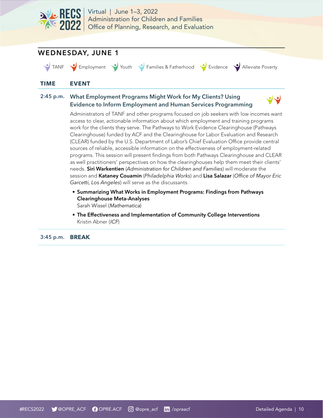

## WEDNESDAY, JUNE 1

TANF Employment Youth Families & Fatherhood Evidence Alleviate Poverty

#### **TIME EVENT**

#### 2:45 p.m. What Employment Programs Might Work for My Clients? Using Evidence to Inform Employment and Human Services Programming



Administrators of TANF and other programs focused on job seekers with low incomes want access to clear, actionable information about which employment and training programs work for the clients they serve. The Pathways to Work Evidence Clearinghouse (Pathways Clearinghouse) funded by ACF and the Clearinghouse for Labor Evaluation and Research (CLEAR) funded by the U.S. Department of Labor's Chief Evaluation Office provide central sources of reliable, accessible information on the effectiveness of employment-related programs. This session will present findings from both Pathways Clearinghouse and CLEAR as well practitioners' perspectives on how the clearinghouses help them meet their clients' needs. Siri Warkentien (*Administration for Children and Families*) will moderate the session and Kataney Couamin (*Philadelphia Works*) and Lisa Salazar (*Office of Mayor Eric Garcetti, Los Angeles*) will serve as the discussants.

- Summarizing What Works in Employment Programs: Findings from Pathways Clearinghouse Meta-Analyses Sarah Wissel (Mathematica)
- The Effectiveness and Implementation of Community College Interventions Kristin Abner (ICF)

3:45 p.m. **BREAK**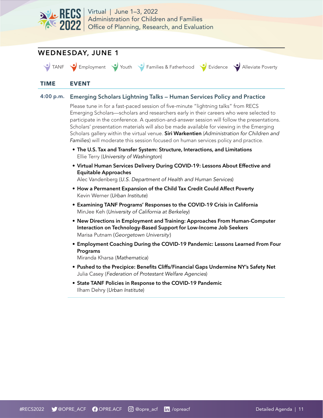

## WEDNESDAY, JUNE 1

TANF Employment Youth Families & Fatherhood V Evidence V Alleviate Poverty

#### **TIME EVENT**

#### 4:00 p.m. Emerging Scholars Lightning Talks — Human Services Policy and Practice

Please tune in for a fast-paced session of five-minute "lightning talks" from RECS Emerging Scholars—scholars and researchers early in their careers who were selected to participate in the conference. A question-and-answer session will follow the presentations. Scholars' presentation materials will also be made available for viewing in the Emerging Scholars gallery within the virtual venue. Siri Warkentien (*Administration for Children and Families*) will moderate this session focused on human services policy and practice.

- The U.S. Tax and Transfer System: Structure, Interactions, and Limitations Ellie Terry (University of Washington)
- Virtual Human Services Delivery During COVID-19: Lessons About Effective and Equitable Approaches
	- Alec Vandenberg (U.S. Department of Health and Human Services)
- How a Permanent Expansion of the Child Tax Credit Could Affect Poverty Kevin Werner (Urban Institute)
- Examining TANF Programs' Responses to the COVID-19 Crisis in California MinJee Keh (University of California at Berkeley)
- New Directions in Employment and Training: Approaches From Human-Computer Interaction on Technology-Based Support for Low-Income Job Seekers Marisa Putnam (*Georgetown University*)
- Employment Coaching During the COVID-19 Pandemic: Lessons Learned From Four Programs

Miranda Kharsa (Mathematica)

- Pushed to the Precipice: Benefits Cliffs/Financial Gaps Undermine NY's Safety Net Julia Casey (Federation of Protestant Welfare Agencies)
- State TANF Policies in Response to the COVID-19 Pandemic Ilham Dehry (Urban Institute)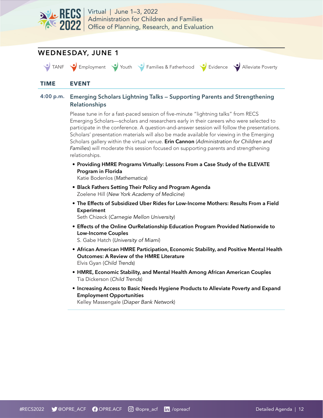

## WEDNESDAY, JUNE 1

TANF Employment Youth Families & Fatherhood Evidence Alleviate Poverty

#### **TIME EVENT**

#### 4:00 p.m. Emerging Scholars Lightning Talks — Supporting Parents and Strengthening Relationships

Please tune in for a fast-paced session of five-minute "lightning talks" from RECS Emerging Scholars—scholars and researchers early in their careers who were selected to participate in the conference. A question-and-answer session will follow the presentations. Scholars' presentation materials will also be made available for viewing in the Emerging Scholars gallery within the virtual venue. Erin Cannon (*Administration for Children and Families*) will moderate this session focused on supporting parents and strengthening relationships.

• Providing HMRE Programs Virtually: Lessons From a Case Study of the ELEVATE Program in Florida

Katie Bodenlos (Mathematica)

- Black Fathers Setting Their Policy and Program Agenda Zoelene Hill (New York Academy of Medicine)
- The Effects of Subsidized Uber Rides for Low-Income Mothers: Results From a Field **Experiment**

Seth Chizeck (Carnegie Mellon University)

• Effects of the Online OurRelationship Education Program Provided Nationwide to Low-Income Couples

S. Gabe Hatch (University of Miami)

- African American HMRE Participation, Economic Stability, and Positive Mental Health Outcomes: A Review of the HMRE Literature Elvis Gyan (Child Trends)
- HMRE, Economic Stability, and Mental Health Among African American Couples Tia Dickerson (Child Trends)
- Increasing Access to Basic Needs Hygiene Products to Alleviate Poverty and Expand Employment Opportunities

Kelley Massengale (Diaper Bank Network)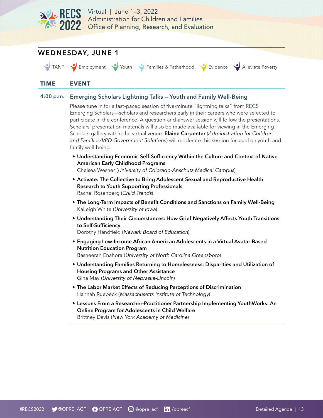

## WEDNESDAY, JUNE 1

TANF Employment Vouth Families & Fatherhood V Evidence V Alleviate Poverty

#### **TIME EVENT**

#### 4:00 p.m. Emerging Scholars Lightning Talks — Youth and Family Well-Being

Please tune in for a fast-paced session of five-minute "lightning talks" from RECS Emerging Scholars—scholars and researchers early in their careers who were selected to participate in the conference. A question-and-answer session will follow the presentations. Scholars' presentation materials will also be made available for viewing in the Emerging Scholars gallery within the virtual venue. Elaine Carpenter (*Administration for Children and Families/VPD Government Solutions*) will moderate this session focused on youth and family well-being.

• Understanding Economic Self-Sufficiency Within the Culture and Context of Native American Early Childhood Programs

Chelsea Wesner (University of Colorado-Anschutz Medical Campus)

- Activate: The Collective to Bring Adolescent Sexual and Reproductive Health Research to Youth Supporting Professionals Rachel Rosenberg (Child Trends)
- The Long-Term Impacts of Benefit Conditions and Sanctions on Family Well-Being KaLeigh White (University of Iowa)
- Understanding Their Circumstances: How Grief Negatively Affects Youth Transitions to Self-Sufficiency

Dorothy Handfield (Newark Board of Education)

- Engaging Low-Income African American Adolescents in a Virtual Avatar-Based Nutrition Education Program Basheerah Enahora (University of North Carolina Greensboro)
- Understanding Families Returning to Homelessness: Disparities and Utilization of Housing Programs and Other Assistance Gina May (University of Nebraska-Lincoln)
- The Labor Market Effects of Reducing Perceptions of Discrimination Hannah Ruebeck (Massachusetts Institute of Technology)
- Lessons From a Researcher-Practitioner Partnership Implementing YouthWorks: An Online Program for Adolescents in Child Welfare Brittney Davis (New York Academy of Medicine)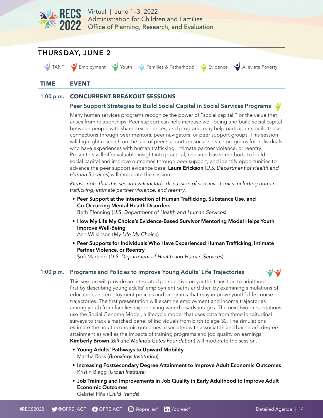<span id="page-13-0"></span>

## THURSDAY, JUNE 2

TANF Employment Youth Families & Fatherhood Evidence Alleviate Poverty

#### **TIME EVENT**

#### 1:00 p.m. **CONCURRENT BREAKOUT SESSIONS**

#### Peer Support Strategies to Build Social Capital in Social Services Programs

Many human services programs recognize the power of "social capital," or the value that arises from relationships. Peer support can help increase well-being and build social capital between people with shared experiences, and programs may help participants build these connections through peer mentors, peer navigators, or peer support groups. This session will highlight research on the use of peer supports in social service programs for individuals who have experiences with human trafficking, intimate partner violence, or reentry. Presenters will offer valuable insight into practical, research-based methods to build social capital and improve outcomes through peer support, and identify opportunities to advance the peer support evidence base. Laura Erickson (*U.S. Department of Health and Human Services*) will moderate the session.

*Please note that this session will include discussion of sensitive topics including human trafficking, intimate partner violence, and reentry.*

- Peer Support at the Intersection of Human Trafficking, Substance Use, and Co-Occurring Mental Health Disorders Beth Pfenning (U.S. Department of Health and Human Services)
- How My Life My Choice's Evidence-Based Survivor Mentoring Model Helps Youth Improve Well-Being

Ann Wilkinson (My Life My Choice)

• Peer Supports for Individuals Who Have Experienced Human Trafficking, Intimate Partner Violence, or Reentry

Sofi Martinez (U.S. Department of Health and Human Services)

#### 1:00 p.m. Programs and Policies to Improve Young Adults' Life Trajectories

ل ل This session will provide an integrated perspective on youth's transition to adulthood, first by describing young adults' employment paths and then by examining simulations of education and employment policies and programs that may improve youth's life course trajectories. The first presentation will examine employment and income trajectories among youth from families experiencing varied disadvantages. The next two presentations use the Social Genome Model, a lifecycle model that uses data from three longitudinal surveys to track a matched panel of individuals from birth to age 30. The simulations estimate the adult economic outcomes associated with associate's and bachelor's degree attainment as well as the impacts of training programs and job quality on earnings.

Kimberly Brown (*Bill and Melinda Gates Foundation*) will moderate the session.

- Young Adults' Pathways to Upward Mobility Martha Ross (Brookings Institution)
- Increasing Postsecondary Degree Attainment to Improve Adult Economic Outcomes Kristin Blagg (Urban Institute)
- Job Training and Improvements in Job Quality in Early Adulthood to Improve Adult Economic Outcomes Gabriel Piña (Child Trends)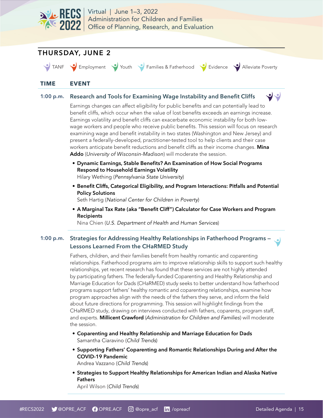



TANF Comployment Youth Families & Fatherhood Covidence Alleviate Poverty

#### **TIME EVENT**

#### 1:00 p.m. Research and Tools for Examining Wage Instability and Benefit Cliffs

Earnings changes can affect eligibility for public benefits and can potentially lead to benefit cliffs, which occur when the value of lost benefits exceeds an earnings increase. Earnings volatility and benefit cliffs can exacerbate economic instability for both lowwage workers and people who receive public benefits. This session will focus on research examining wage and benefit instability in two states (Washington and New Jersey) and present a federally-developed, practitioner-tested tool to help clients and their case workers anticipate benefit reductions and benefit cliffs as their income changes. Mina Addo (*University of Wisconsin-Madison*) will moderate the session.

• Dynamic Earnings, Stable Benefits? An Examination of How Social Programs Respond to Household Earnings Volatility

Hilary Wething (Pennsylvania State University)

• Benefit Cliffs, Categorical Eligibility, and Program Interactions: Pitfalls and Potential Policy Solutions

Seth Hartig (National Center for Children in Poverty)

• A Marginal Tax Rate (aka "Benefit Cliff") Calculator for Case Workers and Program **Recipients** 

Nina Chien (U.S. Department of Health and Human Services)

### 1:00 p.m. Strategies for Addressing Healthy Relationships in Fatherhood Programs -Lessons Learned From the CHaRMED Study

Fathers, children, and their families benefit from healthy romantic and coparenting relationships. Fatherhood programs aim to improve relationship skills to support such healthy relationships, yet recent research has found that these services are not highly attended by participating fathers. The federally-funded Coparenting and Healthy Relationship and Marriage Education for Dads (CHaRMED) study seeks to better understand how fatherhood programs support fathers' healthy romantic and coparenting relationships, examine how program approaches align with the needs of the fathers they serve, and inform the field about future directions for programming. This session will highlight findings from the CHaRMED study, drawing on interviews conducted with fathers, coparents, program staff, and experts. Millicent Crawford (*Administration for Children and Families*) will moderate the session.

- Coparenting and Healthy Relationship and Marriage Education for Dads Samantha Ciaravino (Child Trends)
- Supporting Fathers' Coparenting and Romantic Relationships During and After the COVID-19 Pandemic

Andrea Vazzano (Child Trends)

• Strategies to Support Healthy Relationships for American Indian and Alaska Native Fathers

April Wilson (Child Trends)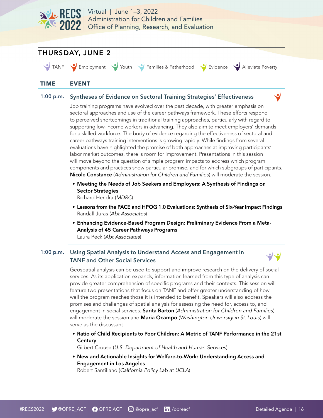

## THURSDAY, JUNE 2

TANF Comployment Youth Families & Fatherhood Covidence Alleviate Poverty

#### **TIME EVENT**

#### 1:00 p.m. Syntheses of Evidence on Sectoral Training Strategies' Effectiveness

Job training programs have evolved over the past decade, with greater emphasis on sectoral approaches and use of the career pathways framework. These efforts respond to perceived shortcomings in traditional training approaches, particularly with regard to supporting low-income workers in advancing. They also aim to meet employers' demands for a skilled workforce. The body of evidence regarding the effectiveness of sectoral and career pathways training interventions is growing rapidly. While findings from several evaluations have highlighted the promise of both approaches at improving participants' labor market outcomes, there is room for improvement. Presentations in this session will move beyond the question of simple program impacts to address which program components and practices show particular promise, and for which subgroups of participants. Nicole Constance (*Administration for Children and Families*) will moderate the session.

• Meeting the Needs of Job Seekers and Employers: A Synthesis of Findings on Sector Strategies

Richard Hendra (MDRC)

- Lessons from the PACE and HPOG 1.0 Evaluations: Synthesis of Six-Year Impact Findings Randall Juras (Abt Associates)
- Enhancing Evidence-Based Program Design: Preliminary Evidence From a Meta-Analysis of 45 Career Pathways Programs Laura Peck (Abt Associates)

#### 1:00 p.m. Using Spatial Analysis to Understand Access and Engagement in TANF and Other Social Services



Geospatial analysis can be used to support and improve research on the delivery of social services. As its application expands, information learned from this type of analysis can provide greater comprehension of specific programs and their contexts. This session will feature two presentations that focus on TANF and offer greater understanding of how well the program reaches those it is intended to benefit. Speakers will also address the promises and challenges of spatial analysis for assessing the need for, access to, and engagement in social services. Sarita Barton (*Administration for Children and Families*) will moderate the session and Maria Ocampo (*Washington Univers*i*ty in St. Louis*) will serve as the discussant.

• Ratio of Child Recipients to Poor Children: A Metric of TANF Performance in the 21st **Century** 

Gilbert Crouse (U.S. Department of Health and Human Services)

• New and Actionable Insights for Welfare-to-Work: Understanding Access and Engagement in Los Angeles

Robert Santillano (California Policy Lab at UCLA)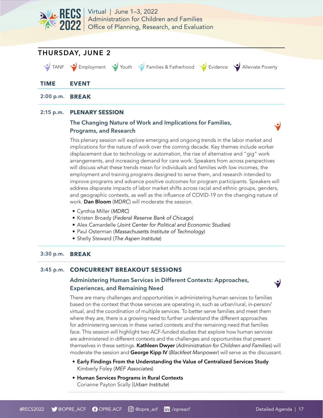



#### 2:15 p.m. **PLENARY SESSION**

#### The Changing Nature of Work and Implications for Families, Programs, and Research

This plenary session will explore emerging and ongoing trends in the labor market and implications for the nature of work over the coming decade. Key themes include worker displacement due to technology or automation, the rise of alternative and "gig" work arrangements, and increasing demand for care work. Speakers from across perspectives will discuss what these trends mean for individuals and families with low incomes, the employment and training programs designed to serve them, and research intended to improve programs and advance positive outcomes for program participants. Speakers will address disparate impacts of labor market shifts across racial and ethnic groups, genders, and geographic contexts, as well as the influence of COVID-19 on the changing nature of work. Dan Bloom (*MDRC*) will moderate the session.

- Cynthia Miller (MDRC)
- Kristen Broady (Federal Reserve Bank of Chicago)
- Alex Camardelle (Joint Center for Political and Economic Studies)
- Paul Osterman (Massachusetts Institute of Technology)
- Shelly Steward (The Aspen Institute)

#### 3:30 p.m. **BREAK**

#### 3:45 p.m. **CONCURRENT BREAKOUT SESSIONS**

#### Administering Human Services in Different Contexts: Approaches, Experiences, and Remaining Need

There are many challenges and opportunities in administering human services to families based on the context that those services are operating in, such as urban/rural, in-person/ virtual, and the coordination of multiple services. To better serve families and meet them where they are, there is a growing need to further understand the different approaches for administering services in these varied contexts and the remaining need that families face. This session will highlight two ACF-funded studies that explore how human services are administered in different contexts and the challenges and opportunities that present themselves in these settings. Kathleen Dwyer (*Administration for Children and Families*) will moderate the session and George Kipp IV (*Blackfeet Manpower*) will serve as the discussant.

- Early Findings From the Understanding the Value of Centralized Services Study Kimberly Foley (MEF Associates)
- Human Services Programs in Rural Contexts Corianne Payton Scally (Urban Institute)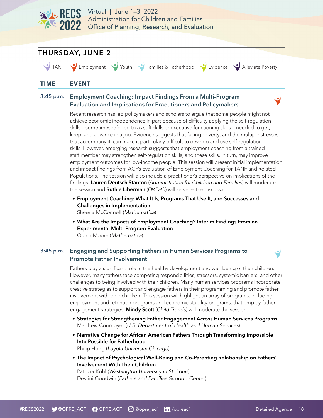

## THURSDAY, JUNE 2

TANF Employment Youth Families & Fatherhood Evidence Alleviate Poverty

#### **TIME EVENT**

#### 3:45 p.m. Employment Coaching: Impact Findings From a Multi-Program Evaluation and Implications for Practitioners and Policymakers

Recent research has led policymakers and scholars to argue that some people might not achieve economic independence in part because of difficulty applying the self-regulation skills—sometimes referred to as soft skills or executive functioning skills—needed to get, keep, and advance in a job. Evidence suggests that facing poverty, and the multiple stresses that accompany it, can make it particularly difficult to develop and use self-regulation skills. However, emerging research suggests that employment coaching from a trained staff member may strengthen self-regulation skills, and these skills, in turn, may improve employment outcomes for low-income people. This session will present initial implementation and impact findings from ACF's Evaluation of Employment Coaching for TANF and Related Populations. The session will also include a practitioner's perspective on implications of the findings. Lauren Deutsch Stanton (*Administration for Children and Families*) will moderate the session and Ruthie Liberman (*EMPath*) will serve as the discussant.

- Employment Coaching: What It Is, Programs That Use It, and Successes and Challenges in Implementation Sheena McConnell (Mathematica)
- What Are the Impacts of Employment Coaching? Interim Findings From an Experimental Multi-Program Evaluation Quinn Moore (Mathematica)

#### 3:45 p.m. Engaging and Supporting Fathers in Human Services Programs to Promote Father Involvement

Fathers play a significant role in the healthy development and well-being of their children. However, many fathers face competing responsibilities, stressors, systemic barriers, and other challenges to being involved with their children. Many human services programs incorporate creative strategies to support and engage fathers in their programming and promote father involvement with their children. This session will highlight an array of programs, including employment and retention programs and economic stability programs, that employ father engagement strategies. Mindy Scott (*Child Trends*) will moderate the session.

- Strategies for Strengthening Father Engagement Across Human Services Programs Matthew Cournoyer (U.S. Department of Health and Human Services)
- Narrative Change for African American Fathers Through Transforming Impossible Into Possible for Fatherhood Philip Hong (Loyola University Chicago)
- The Impact of Psychological Well-Being and Co-Parenting Relationship on Fathers' Involvement With Their Children

Patricia Kohl (Washington University in St. Louis) Destini Goodwin (Fathers and Families Support Center)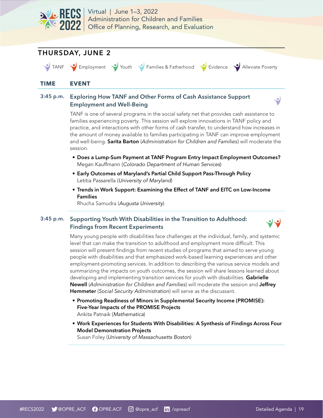

## THURSDAY, JUNE 2

TANF Employment Vouth Families & Fatherhood Cividence Alleviate Poverty

#### **TIME EVENT**

#### 3:45 p.m. Exploring How TANF and Other Forms of Cash Assistance Support Employment and Well-Being

TANF is one of several programs in the social safety net that provides cash assistance to families experiencing poverty. This session will explore innovations in TANF policy and practice, and interactions with other forms of cash transfer, to understand how increases in the amount of money available to families participating in TANF can improve employment and well-being. Sarita Barton (*Administration for Children and Families*) will moderate the session.

- Does a Lump-Sum Payment at TANF Program Entry Impact Employment Outcomes? Megan Kauffmann (Colorado Department of Human Services)
- Early Outcomes of Maryland's Partial Child Support Pass-Through Policy Letitia Passarella (University of Maryland)
- Trends in Work Support: Examining the Effect of TANF and EITC on Low-Income Families

Rhucha Samudra (Augusta University)

#### 3:45 p.m. Supporting Youth With Disabilities in the Transition to Adulthood: Findings from Recent Experiments



Many young people with disabilities face challenges at the individual, family, and systemic level that can make the transition to adulthood and employment more difficult. This session will present findings from recent studies of programs that aimed to serve young people with disabilities and that emphasized work-based learning experiences and other employment-promoting services. In addition to describing the various service models and summarizing the impacts on youth outcomes, the session will share lessons learned about developing and implementing transition services for youth with disabilities. Gabrielle Newell (*Administration for Children and Families*) will moderate the session and Jeffrey Hemmeter (*Social Security Administration*) will serve as the discussant.

• Promoting Readiness of Minors in Supplemental Security Income (PROMISE): Five-Year Impacts of the PROMISE Projects

Ankita Patnaik (Mathematica)

• Work Experiences for Students With Disabilities: A Synthesis of Findings Across Four Model Demonstration Projects

Susan Foley (University of Massachusetts Boston)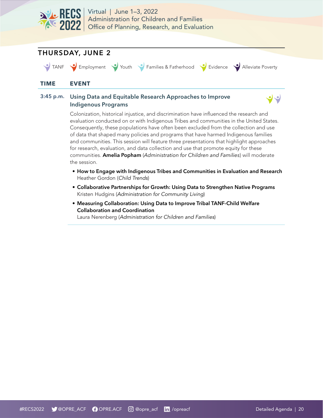

## THURSDAY, JUNE 2

TANF Employment Youth Families & Fatherhood V Evidence V Alleviate Poverty

ں ں

#### **TIME EVENT**

#### 3:45 p.m. Using Data and Equitable Research Approaches to Improve Indigenous Programs

Colonization, historical injustice, and discrimination have influenced the research and evaluation conducted on or with Indigenous Tribes and communities in the United States. Consequently, these populations have often been excluded from the collection and use of data that shaped many policies and programs that have harmed Indigenous families and communities. This session will feature three presentations that highlight approaches for research, evaluation, and data collection and use that promote equity for these communities. Amelia Popham (*Administration for Children and Families*) will moderate the session.

- How to Engage with Indigenous Tribes and Communities in Evaluation and Research Heather Gordon (Child Trends)
- Collaborative Partnerships for Growth: Using Data to Strengthen Native Programs Kristen Hudgins (Administration for Community Living)
- Measuring Collaboration: Using Data to Improve Tribal TANF-Child Welfare Collaboration and Coordination

Laura Nerenberg (Administration for Children and Families)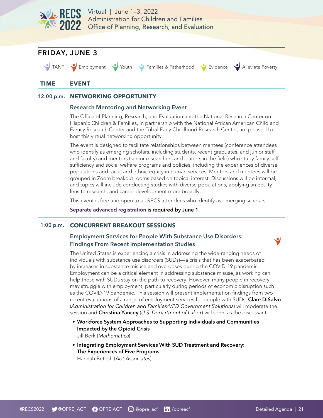<span id="page-20-0"></span>



## **TIME EVENT**

#### 12:00 p.m. **NETWORKING OPPORTUNITY**

#### Research Mentoring and Networking Event

The Office of Planning, Research, and Evaluation and the National Research Center on Hispanic Children & Families, in partnership with the National African American Child and Family Research Center and the Tribal Early Childhood Research Center, are pleased to host this virtual networking opportunity.

The event is designed to facilitate relationships between mentees (conference attendees who identify as emerging scholars, including students, recent graduates, and junior staff and faculty) and mentors (senior researchers and leaders in the field) who study family selfsufficiency and social welfare programs and policies, including the experiences of diverse populations and racial and ethnic equity in human services. Mentors and mentees will be grouped in Zoom breakout rooms based on topical interest. Discussions will be informal, and topics will include conducting studies with diverse populations, applying an equity lens to research, and career development more broadly.

This event is free and open to all RECS attendees who identify as emerging scholars.

[Separate advanced registration](https://us02web.zoom.us/meeting/register/tZIsdOiurzgoGtbL0CtxZQZWNO7qwaLG6KsG) is required by June 1.

#### 1:00 p.m. **CONCURRENT BREAKOUT SESSIONS**

#### Employment Services for People With Substance Use Disorders: Findings From Recent Implementation Studies

The United States is experiencing a crisis in addressing the wide-ranging needs of individuals with substance use disorders (SUDs)—a crisis that has been exacerbated by increases in substance misuse and overdoses during the COVID-19 pandemic. Employment can be a critical element in addressing substance misuse, as working can help those with SUDs stay on the path to recovery. However, many people in recovery may struggle with employment, particularly during periods of economic disruption such as the COVID-19 pandemic. This session will present implementation findings from two recent evaluations of a range of employment services for people with SUDs. Clare DiSalvo (*Administration for Children and Families/VPD Government Solutions*) will moderate the session and Christina Yancey (*U.S. Department of Labor*) will serve as the discussant.

- Workforce System Approaches to Supporting Individuals and Communities Impacted by the Opioid Crisis Jill Berk (Mathematica)
- Integrating Employment Services With SUD Treatment and Recovery: The Experiences of Five Programs Hannah Betesh (Abt Associates)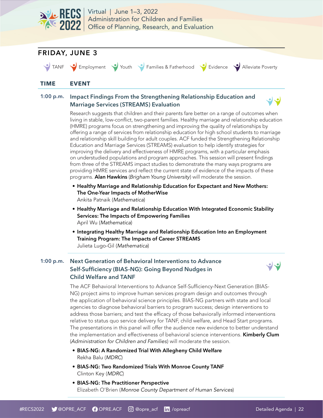



Education and Marriage Services (STREAMS) evaluation to help identify strategies for improving the delivery and effectiveness of HMRE programs, with a particular emphasis on understudied populations and program approaches. This session will present findings from three of the STREAMS impact studies to demonstrate the many ways programs are providing HMRE services and reflect the current state of evidence of the impacts of these programs. Alan Hawkins (*Brigham Young University*) will moderate the session.

- Healthy Marriage and Relationship Education for Expectant and New Mothers: The One-Year Impacts of MotherWise Ankita Patnaik (Mathematica)
- Healthy Marriage and Relationship Education With Integrated Economic Stability Services: The Impacts of Empowering Families April Wu (Mathematica)
- Integrating Healthy Marriage and Relationship Education Into an Employment Training Program: The Impacts of Career STREAMS Julieta Lugo-Gil (Mathematica)

#### 1:00 p.m. Next Generation of Behavioral Interventions to Advance Self-Sufficiency (BIAS-NG): Going Beyond Nudges in Child Welfare and TANF



The ACF Behavioral Interventions to Advance Self-Sufficiency-Next Generation (BIAS-NG) project aims to improve human services program design and outcomes through the application of behavioral science principles. BIAS-NG partners with state and local agencies to diagnose behavioral barriers to program success; design interventions to address those barriers; and test the efficacy of those behaviorally informed interventions relative to status quo service delivery for TANF, child welfare, and Head Start programs. The presentations in this panel will offer the audience new evidence to better understand the implementation and effectiveness of behavioral science interventions. Kimberly Clum (*Administration for Children and Families*) will moderate the session.

- BIAS-NG: A Randomized Trial With Allegheny Child Welfare Rekha Balu (MDRC)
- BIAS-NG: Two Randomized Trials With Monroe County TANF Clinton Key (MDRC)
- BIAS-NG: The Practitioner Perspective Elizabeth O'Brien (Monroe County Department of Human Services)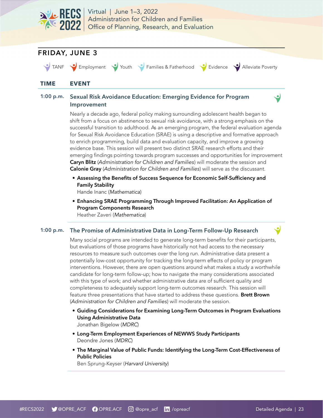



for Sexual Risk Avoidance Education (SRAE) is using a descriptive and formative approach to enrich programming, build data and evaluation capacity, and improve a growing evidence base. This session will present two distinct SRAE research efforts and their emerging findings pointing towards program successes and opportunities for improvement Caryn Blitz (*Administration for Children and Families*) will moderate the session and Calonie Gray (*Administration for Children and Families*) will serve as the discussant.

- Assessing the Benefits of Success Sequence for Economic Self-Sufficiency and Family Stability
	- Hande Inanc (Mathematica)
- Enhancing SRAE Programming Through Improved Facilitation: An Application of Program Components Research Heather Zaveri (Mathematica)

#### 1:00 p.m. The Promise of Administrative Data in Long-Term Follow-Up Research

Many social programs are intended to generate long-term benefits for their participants, but evaluations of those programs have historically not had access to the necessary resources to measure such outcomes over the long run. Administrative data present a potentially low-cost opportunity for tracking the long-term effects of policy or program interventions. However, there are open questions around what makes a study a worthwhile candidate for long-term follow-up; how to navigate the many considerations associated with this type of work; and whether administrative data are of sufficient quality and completeness to adequately support long-term outcomes research. This session will feature three presentations that have started to address these questions. Brett Brown (*Administration for Children and Families*) will moderate the session.

• Guiding Considerations for Examining Long-Term Outcomes in Program Evaluations Using Administrative Data

Jonathan Bigelow (MDRC)

- Long-Term Employment Experiences of NEWWS Study Participants Deondre Jones (MDRC)
- The Marginal Value of Public Funds: Identifying the Long-Term Cost-Effectiveness of Public Policies

Ben Sprung-Keyser (Harvard University)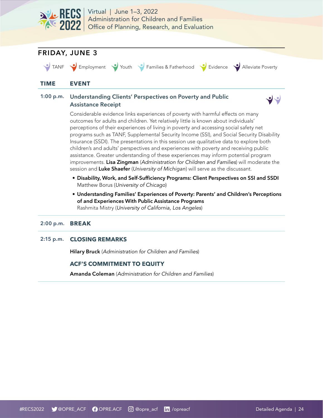



#### 2:00 p.m. **BREAK**

#### 2:15 p.m. **CLOSING REMARKS**

Hilary Bruck (Administration for Children and Families)

#### **ACF'S COMMITMENT TO EQUITY**

Amanda Coleman (Administration for Children and Families)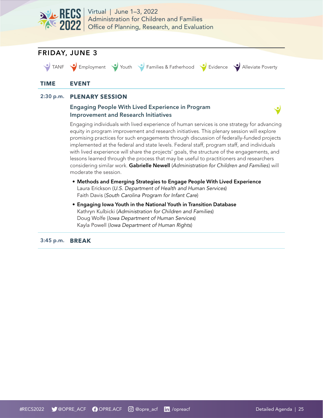

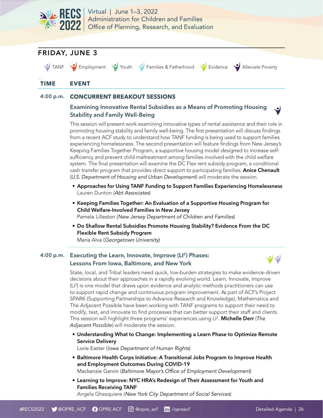



#### 4:00 p.m. **CONCURRENT BREAKOUT SESSIONS**

#### Examining Innovative Rental Subsidies as a Means of Promoting Housing Stability and Family Well-Being

This session will present work examining innovative types of rental assistance and their role in promoting housing stability and family well-being. The first presentation will discuss findings from a recent ACF study to understand how TANF funding is being used to support families experiencing homelessness. The second presentation will feature findings from New Jersey's Keeping Families Together Program, a supportive housing model designed to increase selfsufficiency and prevent child maltreatment among families involved with the child welfare system. The final presentation will examine the DC Flex rent subsidy program, a conditional cash transfer program that provides direct support to participating families. Anice Chenault (*U.S. Department of Housing and Urban Development*) will moderate the session.

- Approaches for Using TANF Funding to Support Families Experiencing Homelessness Lauren Dunton (Abt Associates)
- Keeping Families Together: An Evaluation of a Supportive Housing Program for Child Welfare-Involved Families in New Jersey Pamela Lilleston (New Jersey Department of Children and Families)
- Do Shallow Rental Subsidies Promote Housing Stability? Evidence From the DC Flexible Rent Subsidy Program Maria Alva (Georgetown University)

#### 4:00 p.m. Executing the Learn, Innovate, Improve (LI<sup>2</sup>) Phases: Lessons From Iowa, Baltimore, and New York



State, local, and Tribal leaders need quick, low-burden strategies to make evidence-driven decisions about their approaches in a rapidly evolving world. Learn, Innovate, Improve (LI2 ) is one model that draws upon evidence and analytic methods practitioners can use to support rapid change and continuous program improvement. As part of ACF's Project SPARK (Supporting Partnerships to Advance Research and Knowledge), Mathematica and The Adjacent Possible have been working with TANF programs to support their need to modify, test, and innovate to find processes that can better support their staff and clients. This session will highlight three programs' experiences using LI2 . Michelle Derr (*The Adjacent Possible*) will moderate the session.

• Understanding What to Change: Implementing a Learn Phase to Optimize Remote Service Delivery

Lorie Easter (Iowa Department of Human Rights)

- Baltimore Health Corps Initiative: A Transitional Jobs Program to Improve Health and Employment Outcomes During COVID-19 Mackenzie Garvin (Baltimore Mayor's Office of Employment Development)
- Learning to Improve: NYC HRA's Redesign of Their Assessment for Youth and Families Receiving TANF Angela Ghesquiere (New York City Department of Social Services)

#RECS2022 **W** @OPRE\_ACF **O** OPRE.ACF **O** @opre\_acf **in** /opreacf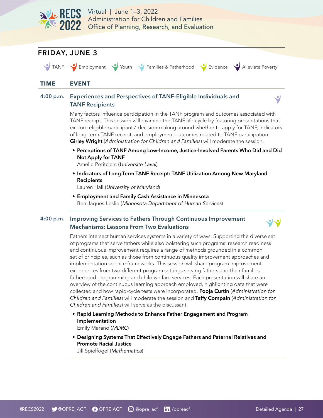



#### 4:00 p.m. Improving Services to Fathers Through Continuous Improvement Mechanisms: Lessons From Two Evaluations

Fathers intersect human services systems in a variety of ways. Supporting the diverse set of programs that serve fathers while also bolstering such programs' research readiness and continuous improvement requires a range of methods grounded in a common set of principles, such as those from continuous quality improvement approaches and implementation science frameworks. This session will share program improvement experiences from two different program settings serving fathers and their families: fatherhood programming and child welfare services. Each presentation will share an overview of the continuous learning approach employed, highlighting data that were collected and how rapid-cycle tests were incorporated. Pooja Curtin (*Administration for Children and Families*) will moderate the session and Taffy Compain (*Administration for Children and Families*) will serve as the discussant.

- Rapid Learning Methods to Enhance Father Engagement and Program Implementation Emily Marano (MDRC)
- Designing Systems That Effectively Engage Fathers and Paternal Relatives and Promote Racial Justice

Jill Spielfogel (Mathematica)